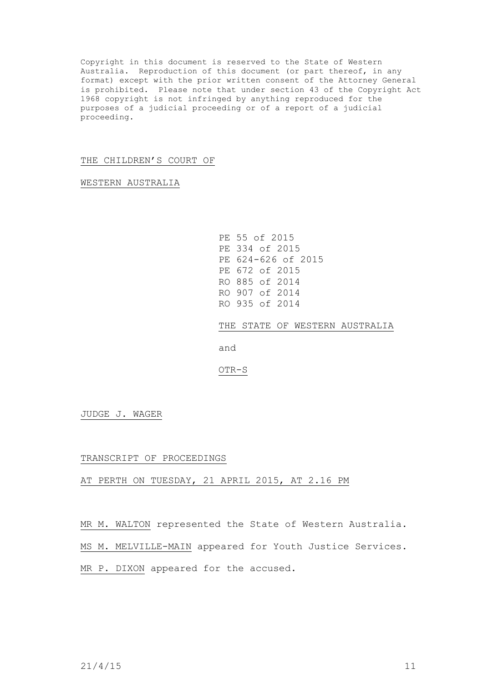Copyright in this document is reserved to the State of Western Australia. Reproduction of this document (or part thereof, in any format) except with the prior written consent of the Attorney General is prohibited. Please note that under section 43 of the Copyright Act 1968 copyright is not infringed by anything reproduced for the purposes of a judicial proceeding or of a report of a judicial proceeding.

## THE CHILDREN'S COURT OF

WESTERN AUSTRALIA

PE 55 of 2015 PE 334 of 2015 PE 624-626 of 2015 PE 672 of 2015 RO 885 of 2014 RO 907 of 2014 RO 935 of 2014

THE STATE OF WESTERN AUSTRALIA

and

OTR-S

JUDGE J. WAGER

## TRANSCRIPT OF PROCEEDINGS

AT PERTH ON TUESDAY, 21 APRIL 2015, AT 2.16 PM

MR M. WALTON represented the State of Western Australia.

MS M. MELVILLE-MAIN appeared for Youth Justice Services.

MR P. DIXON appeared for the accused.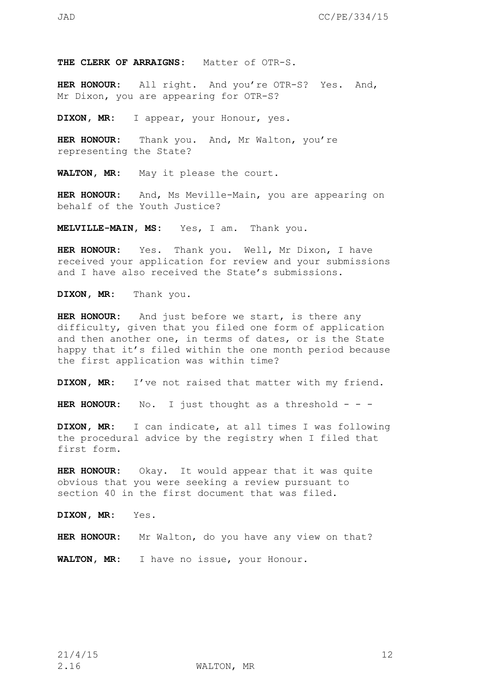**THE CLERK OF ARRAIGNS:** Matter of OTR-S.

**HER HONOUR:** All right. And you're OTR-S? Yes. And, Mr Dixon, you are appearing for OTR-S?

**DIXON, MR:** I appear, your Honour, yes.

**HER HONOUR:** Thank you. And, Mr Walton, you're representing the State?

**WALTON, MR:** May it please the court.

**HER HONOUR:** And, Ms Meville-Main, you are appearing on behalf of the Youth Justice?

**MELVILLE-MAIN, MS:** Yes, I am. Thank you.

**HER HONOUR:** Yes. Thank you. Well, Mr Dixon, I have received your application for review and your submissions and I have also received the State's submissions.

**DIXON, MR:** Thank you.

**HER HONOUR:** And just before we start, is there any difficulty, given that you filed one form of application and then another one, in terms of dates, or is the State happy that it's filed within the one month period because the first application was within time?

**DIXON, MR:** I've not raised that matter with my friend.

**HER HONOUR:** No. I just thought as a threshold - - -

**DIXON, MR:** I can indicate, at all times I was following the procedural advice by the registry when I filed that first form.

**HER HONOUR:** Okay. It would appear that it was quite obvious that you were seeking a review pursuant to section 40 in the first document that was filed.

**DIXON, MR:** Yes.

**HER HONOUR:** Mr Walton, do you have any view on that?

**WALTON, MR:** I have no issue, your Honour.

2.16 WALTON, MR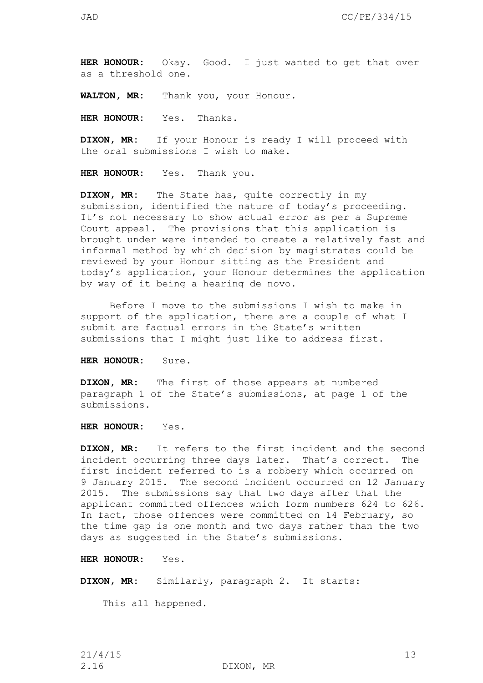as a threshold one.

**WALTON, MR:** Thank you, your Honour.

**HER HONOUR:** Yes. Thanks.

**DIXON, MR:** If your Honour is ready I will proceed with the oral submissions I wish to make.

**HER HONOUR:** Yes. Thank you.

**DIXON, MR:** The State has, quite correctly in my submission, identified the nature of today's proceeding. It's not necessary to show actual error as per a Supreme Court appeal. The provisions that this application is brought under were intended to create a relatively fast and informal method by which decision by magistrates could be reviewed by your Honour sitting as the President and today's application, your Honour determines the application by way of it being a hearing de novo.

Before I move to the submissions I wish to make in support of the application, there are a couple of what I submit are factual errors in the State's written submissions that I might just like to address first.

**HER HONOUR:** Sure.

**DIXON, MR:** The first of those appears at numbered paragraph 1 of the State's submissions, at page 1 of the submissions.

**HER HONOUR:** Yes.

**DIXON, MR:** It refers to the first incident and the second incident occurring three days later. That's correct. The first incident referred to is a robbery which occurred on 9 January 2015. The second incident occurred on 12 January 2015. The submissions say that two days after that the applicant committed offences which form numbers 624 to 626. In fact, those offences were committed on 14 February, so the time gap is one month and two days rather than the two days as suggested in the State's submissions.

**HER HONOUR:** Yes.

**DIXON, MR:** Similarly, paragraph 2. It starts:

This all happened.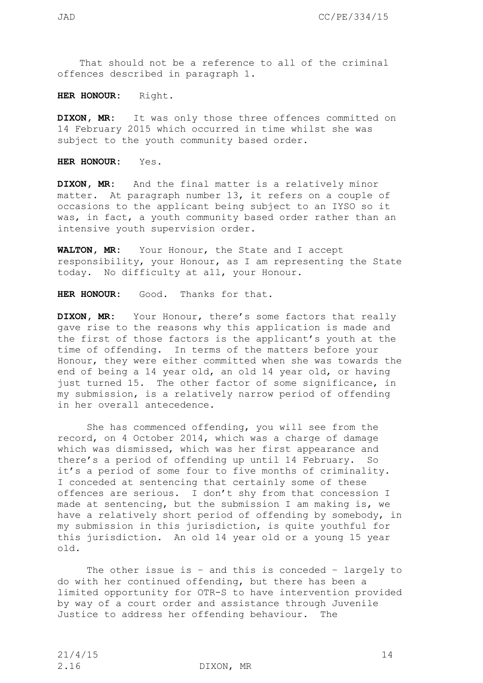That should not be a reference to all of the criminal offences described in paragraph 1.

**HER HONOUR:** Right.

**DIXON, MR:** It was only those three offences committed on 14 February 2015 which occurred in time whilst she was subject to the youth community based order.

**HER HONOUR:** Yes.

**DIXON, MR:** And the final matter is a relatively minor matter. At paragraph number 13, it refers on a couple of occasions to the applicant being subject to an IYSO so it was, in fact, a youth community based order rather than an intensive youth supervision order.

**WALTON, MR:** Your Honour, the State and I accept responsibility, your Honour, as I am representing the State today. No difficulty at all, your Honour.

**HER HONOUR:** Good. Thanks for that.

**DIXON, MR:** Your Honour, there's some factors that really gave rise to the reasons why this application is made and the first of those factors is the applicant's youth at the time of offending. In terms of the matters before your Honour, they were either committed when she was towards the end of being a 14 year old, an old 14 year old, or having just turned 15. The other factor of some significance, in my submission, is a relatively narrow period of offending in her overall antecedence.

She has commenced offending, you will see from the record, on 4 October 2014, which was a charge of damage which was dismissed, which was her first appearance and there's a period of offending up until 14 February. So it's a period of some four to five months of criminality. I conceded at sentencing that certainly some of these offences are serious. I don't shy from that concession I made at sentencing, but the submission I am making is, we have a relatively short period of offending by somebody, in my submission in this jurisdiction, is quite youthful for this jurisdiction. An old 14 year old or a young 15 year old.

The other issue is – and this is conceded – largely to do with her continued offending, but there has been a limited opportunity for OTR-S to have intervention provided by way of a court order and assistance through Juvenile Justice to address her offending behaviour. The

2.16 DIXON, MR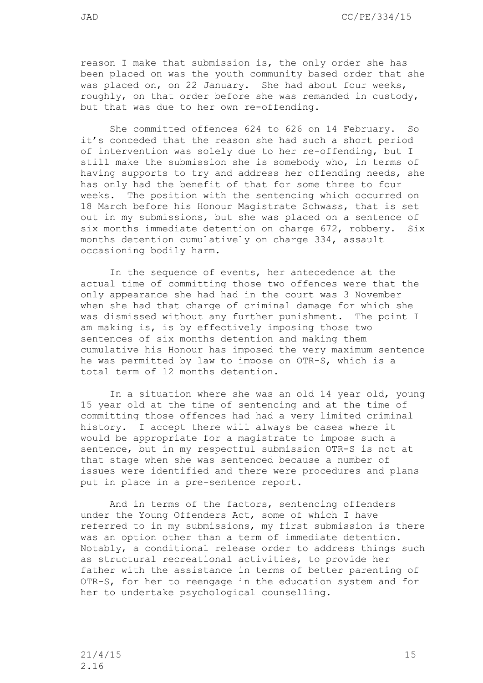reason I make that submission is, the only order she has been placed on was the youth community based order that she was placed on, on 22 January. She had about four weeks, roughly, on that order before she was remanded in custody, but that was due to her own re-offending.

She committed offences 624 to 626 on 14 February. So it's conceded that the reason she had such a short period of intervention was solely due to her re-offending, but I still make the submission she is somebody who, in terms of having supports to try and address her offending needs, she has only had the benefit of that for some three to four weeks. The position with the sentencing which occurred on 18 March before his Honour Magistrate Schwass, that is set out in my submissions, but she was placed on a sentence of six months immediate detention on charge 672, robbery. Six months detention cumulatively on charge 334, assault occasioning bodily harm.

In the sequence of events, her antecedence at the actual time of committing those two offences were that the only appearance she had had in the court was 3 November when she had that charge of criminal damage for which she was dismissed without any further punishment. The point I am making is, is by effectively imposing those two sentences of six months detention and making them cumulative his Honour has imposed the very maximum sentence he was permitted by law to impose on OTR-S, which is a total term of 12 months detention.

In a situation where she was an old 14 year old, young 15 year old at the time of sentencing and at the time of committing those offences had had a very limited criminal history. I accept there will always be cases where it would be appropriate for a magistrate to impose such a sentence, but in my respectful submission OTR-S is not at that stage when she was sentenced because a number of issues were identified and there were procedures and plans put in place in a pre-sentence report.

And in terms of the factors, sentencing offenders under the Young Offenders Act, some of which I have referred to in my submissions, my first submission is there was an option other than a term of immediate detention. Notably, a conditional release order to address things such as structural recreational activities, to provide her father with the assistance in terms of better parenting of OTR-S, for her to reengage in the education system and for her to undertake psychological counselling.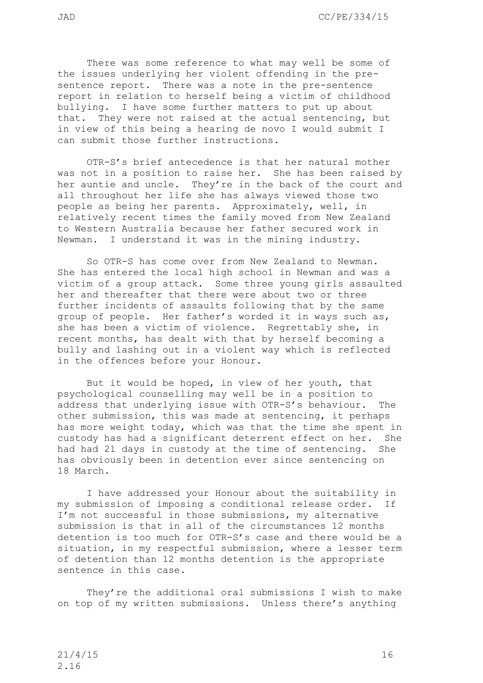There was some reference to what may well be some of the issues underlying her violent offending in the presentence report. There was a note in the pre-sentence report in relation to herself being a victim of childhood bullying. I have some further matters to put up about that. They were not raised at the actual sentencing, but in view of this being a hearing de novo I would submit I can submit those further instructions.

OTR-S's brief antecedence is that her natural mother was not in a position to raise her. She has been raised by her auntie and uncle. They're in the back of the court and all throughout her life she has always viewed those two people as being her parents. Approximately, well, in relatively recent times the family moved from New Zealand to Western Australia because her father secured work in Newman. I understand it was in the mining industry.

So OTR-S has come over from New Zealand to Newman. She has entered the local high school in Newman and was a victim of a group attack. Some three young girls assaulted her and thereafter that there were about two or three further incidents of assaults following that by the same group of people. Her father's worded it in ways such as, she has been a victim of violence. Regrettably she, in recent months, has dealt with that by herself becoming a bully and lashing out in a violent way which is reflected in the offences before your Honour.

But it would be hoped, in view of her youth, that psychological counselling may well be in a position to address that underlying issue with OTR-S's behaviour. The other submission, this was made at sentencing, it perhaps has more weight today, which was that the time she spent in custody has had a significant deterrent effect on her. She had had 21 days in custody at the time of sentencing. She has obviously been in detention ever since sentencing on 18 March.

I have addressed your Honour about the suitability in my submission of imposing a conditional release order. If I'm not successful in those submissions, my alternative submission is that in all of the circumstances 12 months detention is too much for OTR-S's case and there would be a situation, in my respectful submission, where a lesser term of detention than 12 months detention is the appropriate sentence in this case.

They're the additional oral submissions I wish to make on top of my written submissions. Unless there's anything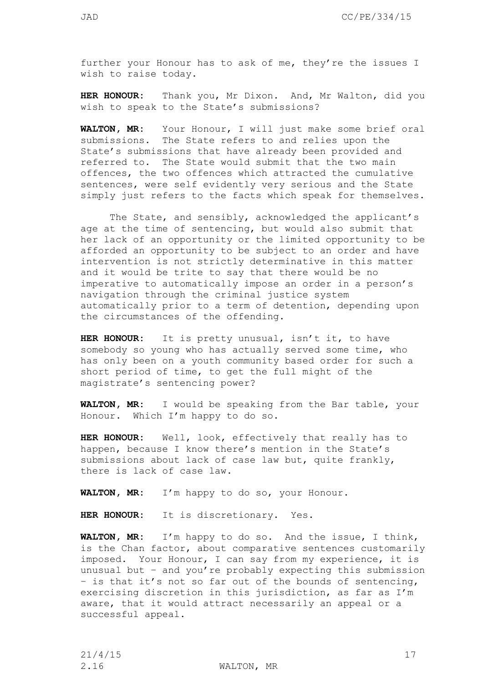**HER HONOUR:** Thank you, Mr Dixon. And, Mr Walton, did you wish to speak to the State's submissions?

**WALTON, MR:** Your Honour, I will just make some brief oral submissions. The State refers to and relies upon the State's submissions that have already been provided and referred to. The State would submit that the two main offences, the two offences which attracted the cumulative sentences, were self evidently very serious and the State simply just refers to the facts which speak for themselves.

The State, and sensibly, acknowledged the applicant's age at the time of sentencing, but would also submit that her lack of an opportunity or the limited opportunity to be afforded an opportunity to be subject to an order and have intervention is not strictly determinative in this matter and it would be trite to say that there would be no imperative to automatically impose an order in a person's navigation through the criminal justice system automatically prior to a term of detention, depending upon the circumstances of the offending.

**HER HONOUR:** It is pretty unusual, isn't it, to have somebody so young who has actually served some time, who has only been on a youth community based order for such a short period of time, to get the full might of the magistrate's sentencing power?

**WALTON, MR:** I would be speaking from the Bar table, your Honour. Which I'm happy to do so.

**HER HONOUR:** Well, look, effectively that really has to happen, because I know there's mention in the State's submissions about lack of case law but, quite frankly, there is lack of case law.

**WALTON, MR:** I'm happy to do so, your Honour.

**HER HONOUR:** It is discretionary. Yes.

**WALTON, MR:** I'm happy to do so. And the issue, I think, is the Chan factor, about comparative sentences customarily imposed. Your Honour, I can say from my experience, it is unusual but – and you're probably expecting this submission – is that it's not so far out of the bounds of sentencing, exercising discretion in this jurisdiction, as far as I'm aware, that it would attract necessarily an appeal or a successful appeal.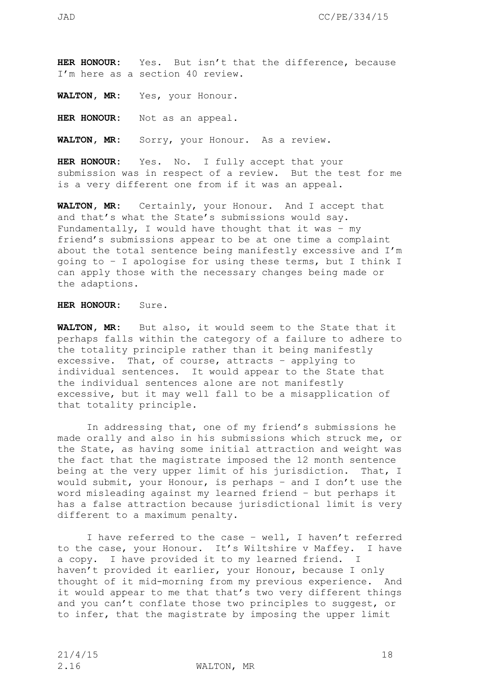**HER HONOUR:** Yes. But isn't that the difference, because I'm here as a section 40 review.

**WALTON, MR:** Yes, your Honour.

**HER HONOUR:** Not as an appeal.

**WALTON, MR:** Sorry, your Honour. As a review.

**HER HONOUR:** Yes. No. I fully accept that your submission was in respect of a review. But the test for me is a very different one from if it was an appeal.

**WALTON, MR:** Certainly, your Honour. And I accept that and that's what the State's submissions would say. Fundamentally, I would have thought that it was – my friend's submissions appear to be at one time a complaint about the total sentence being manifestly excessive and I'm going to – I apologise for using these terms, but I think I can apply those with the necessary changes being made or the adaptions.

## **HER HONOUR:** Sure.

**WALTON, MR:** But also, it would seem to the State that it perhaps falls within the category of a failure to adhere to the totality principle rather than it being manifestly excessive. That, of course, attracts – applying to individual sentences. It would appear to the State that the individual sentences alone are not manifestly excessive, but it may well fall to be a misapplication of that totality principle.

In addressing that, one of my friend's submissions he made orally and also in his submissions which struck me, or the State, as having some initial attraction and weight was the fact that the magistrate imposed the 12 month sentence being at the very upper limit of his jurisdiction. That, I would submit, your Honour, is perhaps – and I don't use the word misleading against my learned friend – but perhaps it has a false attraction because jurisdictional limit is very different to a maximum penalty.

I have referred to the case – well, I haven't referred to the case, your Honour. It's Wiltshire v Maffey. I have a copy. I have provided it to my learned friend. I haven't provided it earlier, your Honour, because I only thought of it mid-morning from my previous experience. And it would appear to me that that's two very different things and you can't conflate those two principles to suggest, or to infer, that the magistrate by imposing the upper limit

2.16 WALTON, MR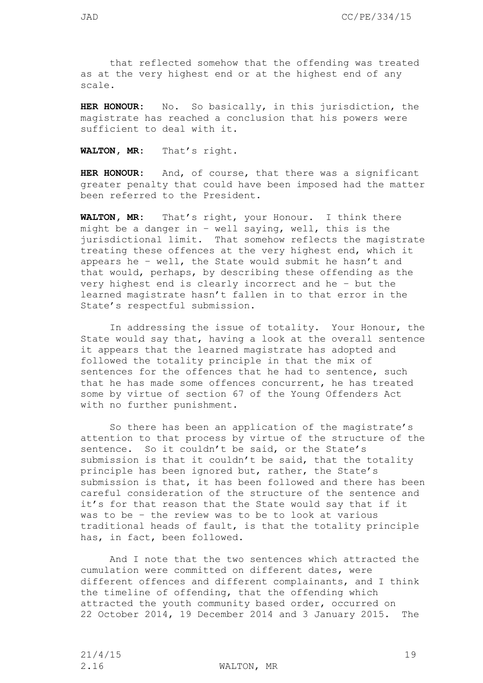that reflected somehow that the offending was treated as at the very highest end or at the highest end of any scale.

**HER HONOUR:** No. So basically, in this jurisdiction, the magistrate has reached a conclusion that his powers were sufficient to deal with it.

**WALTON, MR:** That's right.

**HER HONOUR:** And, of course, that there was a significant greater penalty that could have been imposed had the matter been referred to the President.

**WALTON, MR:** That's right, your Honour. I think there might be a danger in – well saying, well, this is the jurisdictional limit. That somehow reflects the magistrate treating these offences at the very highest end, which it appears he – well, the State would submit he hasn't and that would, perhaps, by describing these offending as the very highest end is clearly incorrect and he – but the learned magistrate hasn't fallen in to that error in the State's respectful submission.

In addressing the issue of totality. Your Honour, the State would say that, having a look at the overall sentence it appears that the learned magistrate has adopted and followed the totality principle in that the mix of sentences for the offences that he had to sentence, such that he has made some offences concurrent, he has treated some by virtue of section 67 of the Young Offenders Act with no further punishment.

So there has been an application of the magistrate's attention to that process by virtue of the structure of the sentence. So it couldn't be said, or the State's submission is that it couldn't be said, that the totality principle has been ignored but, rather, the State's submission is that, it has been followed and there has been careful consideration of the structure of the sentence and it's for that reason that the State would say that if it was to be – the review was to be to look at various traditional heads of fault, is that the totality principle has, in fact, been followed.

And I note that the two sentences which attracted the cumulation were committed on different dates, were different offences and different complainants, and I think the timeline of offending, that the offending which attracted the youth community based order, occurred on 22 October 2014, 19 December 2014 and 3 January 2015. The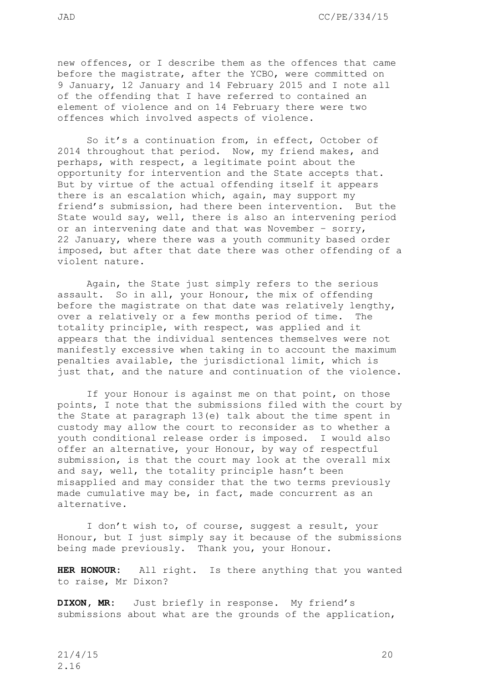new offences, or I describe them as the offences that came before the magistrate, after the YCBO, were committed on 9 January, 12 January and 14 February 2015 and I note all of the offending that I have referred to contained an element of violence and on 14 February there were two offences which involved aspects of violence.

So it's a continuation from, in effect, October of 2014 throughout that period. Now, my friend makes, and perhaps, with respect, a legitimate point about the opportunity for intervention and the State accepts that. But by virtue of the actual offending itself it appears there is an escalation which, again, may support my friend's submission, had there been intervention. But the State would say, well, there is also an intervening period or an intervening date and that was November – sorry, 22 January, where there was a youth community based order imposed, but after that date there was other offending of a violent nature.

Again, the State just simply refers to the serious assault. So in all, your Honour, the mix of offending before the magistrate on that date was relatively lengthy, over a relatively or a few months period of time. The totality principle, with respect, was applied and it appears that the individual sentences themselves were not manifestly excessive when taking in to account the maximum penalties available, the jurisdictional limit, which is just that, and the nature and continuation of the violence.

If your Honour is against me on that point, on those points, I note that the submissions filed with the court by the State at paragraph 13(e) talk about the time spent in custody may allow the court to reconsider as to whether a youth conditional release order is imposed. I would also offer an alternative, your Honour, by way of respectful submission, is that the court may look at the overall mix and say, well, the totality principle hasn't been misapplied and may consider that the two terms previously made cumulative may be, in fact, made concurrent as an alternative.

I don't wish to, of course, suggest a result, your Honour, but I just simply say it because of the submissions being made previously. Thank you, your Honour.

**HER HONOUR:** All right. Is there anything that you wanted to raise, Mr Dixon?

**DIXON, MR:** Just briefly in response. My friend's submissions about what are the grounds of the application,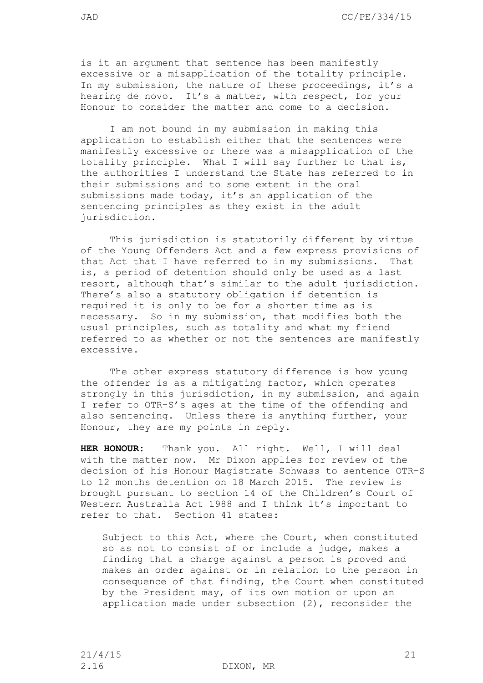is it an argument that sentence has been manifestly excessive or a misapplication of the totality principle. In my submission, the nature of these proceedings, it's a hearing de novo. It's a matter, with respect, for your Honour to consider the matter and come to a decision.

I am not bound in my submission in making this application to establish either that the sentences were manifestly excessive or there was a misapplication of the totality principle. What I will say further to that is, the authorities I understand the State has referred to in their submissions and to some extent in the oral submissions made today, it's an application of the sentencing principles as they exist in the adult jurisdiction.

This jurisdiction is statutorily different by virtue of the Young Offenders Act and a few express provisions of that Act that I have referred to in my submissions. That is, a period of detention should only be used as a last resort, although that's similar to the adult jurisdiction. There's also a statutory obligation if detention is required it is only to be for a shorter time as is necessary. So in my submission, that modifies both the usual principles, such as totality and what my friend referred to as whether or not the sentences are manifestly excessive.

The other express statutory difference is how young the offender is as a mitigating factor, which operates strongly in this jurisdiction, in my submission, and again I refer to OTR-S's ages at the time of the offending and also sentencing. Unless there is anything further, your Honour, they are my points in reply.

**HER HONOUR:** Thank you. All right. Well, I will deal with the matter now. Mr Dixon applies for review of the decision of his Honour Magistrate Schwass to sentence OTR-S to 12 months detention on 18 March 2015. The review is brought pursuant to section 14 of the Children's Court of Western Australia Act 1988 and I think it's important to refer to that. Section 41 states:

Subject to this Act, where the Court, when constituted so as not to consist of or include a judge, makes a finding that a charge against a person is proved and makes an order against or in relation to the person in consequence of that finding, the Court when constituted by the President may, of its own motion or upon an application made under subsection (2), reconsider the

2.16 DIXON, MR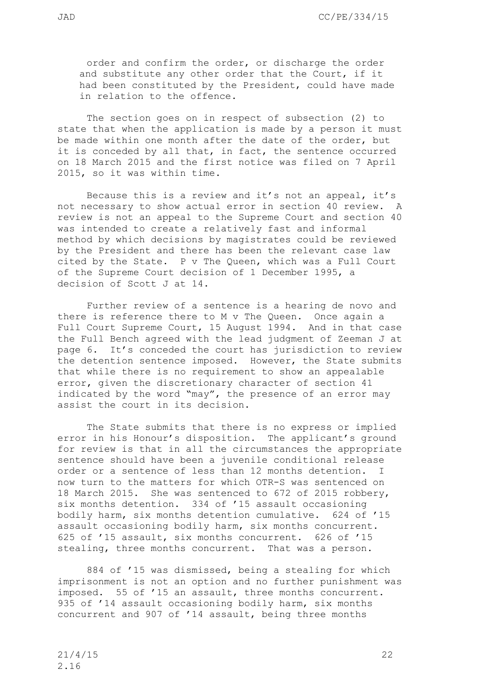order and confirm the order, or discharge the order and substitute any other order that the Court, if it had been constituted by the President, could have made in relation to the offence.

The section goes on in respect of subsection (2) to state that when the application is made by a person it must be made within one month after the date of the order, but it is conceded by all that, in fact, the sentence occurred on 18 March 2015 and the first notice was filed on 7 April 2015, so it was within time.

Because this is a review and it's not an appeal, it's not necessary to show actual error in section 40 review. A review is not an appeal to the Supreme Court and section 40 was intended to create a relatively fast and informal method by which decisions by magistrates could be reviewed by the President and there has been the relevant case law cited by the State. P v The Queen, which was a Full Court of the Supreme Court decision of 1 December 1995, a decision of Scott J at 14.

Further review of a sentence is a hearing de novo and there is reference there to M v The Queen. Once again a Full Court Supreme Court, 15 August 1994. And in that case the Full Bench agreed with the lead judgment of Zeeman J at page 6. It's conceded the court has jurisdiction to review the detention sentence imposed. However, the State submits that while there is no requirement to show an appealable error, given the discretionary character of section 41 indicated by the word "may", the presence of an error may assist the court in its decision.

The State submits that there is no express or implied error in his Honour's disposition. The applicant's ground for review is that in all the circumstances the appropriate sentence should have been a juvenile conditional release order or a sentence of less than 12 months detention. I now turn to the matters for which OTR-S was sentenced on 18 March 2015. She was sentenced to 672 of 2015 robbery, six months detention. 334 of '15 assault occasioning bodily harm, six months detention cumulative. 624 of '15 assault occasioning bodily harm, six months concurrent. 625 of '15 assault, six months concurrent. 626 of '15 stealing, three months concurrent. That was a person.

884 of '15 was dismissed, being a stealing for which imprisonment is not an option and no further punishment was imposed. 55 of '15 an assault, three months concurrent. 935 of '14 assault occasioning bodily harm, six months concurrent and 907 of '14 assault, being three months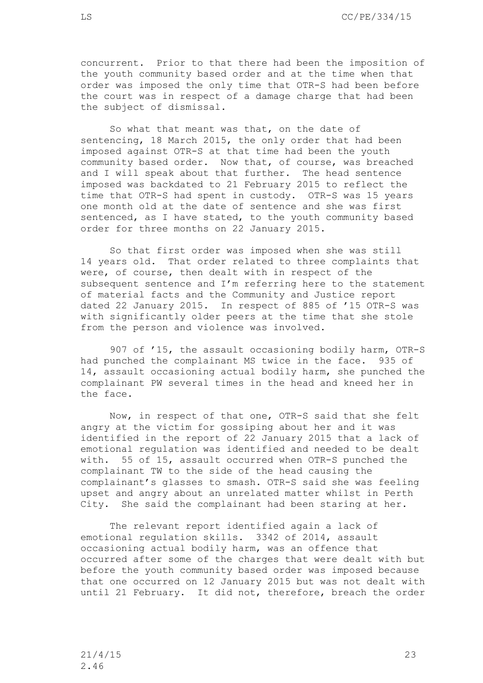concurrent. Prior to that there had been the imposition of the youth community based order and at the time when that order was imposed the only time that OTR-S had been before the court was in respect of a damage charge that had been the subject of dismissal.

So what that meant was that, on the date of sentencing, 18 March 2015, the only order that had been imposed against OTR-S at that time had been the youth community based order. Now that, of course, was breached and I will speak about that further. The head sentence imposed was backdated to 21 February 2015 to reflect the time that OTR-S had spent in custody. OTR-S was 15 years one month old at the date of sentence and she was first sentenced, as I have stated, to the youth community based order for three months on 22 January 2015.

So that first order was imposed when she was still 14 years old. That order related to three complaints that were, of course, then dealt with in respect of the subsequent sentence and I'm referring here to the statement of material facts and the Community and Justice report dated 22 January 2015. In respect of 885 of '15 OTR-S was with significantly older peers at the time that she stole from the person and violence was involved.

907 of '15, the assault occasioning bodily harm, OTR-S had punched the complainant MS twice in the face. 935 of 14, assault occasioning actual bodily harm, she punched the complainant PW several times in the head and kneed her in the face.

Now, in respect of that one, OTR-S said that she felt angry at the victim for gossiping about her and it was identified in the report of 22 January 2015 that a lack of emotional regulation was identified and needed to be dealt with. 55 of 15, assault occurred when OTR-S punched the complainant TW to the side of the head causing the complainant's glasses to smash. OTR-S said she was feeling upset and angry about an unrelated matter whilst in Perth City. She said the complainant had been staring at her.

The relevant report identified again a lack of emotional regulation skills. 3342 of 2014, assault occasioning actual bodily harm, was an offence that occurred after some of the charges that were dealt with but before the youth community based order was imposed because that one occurred on 12 January 2015 but was not dealt with until 21 February. It did not, therefore, breach the order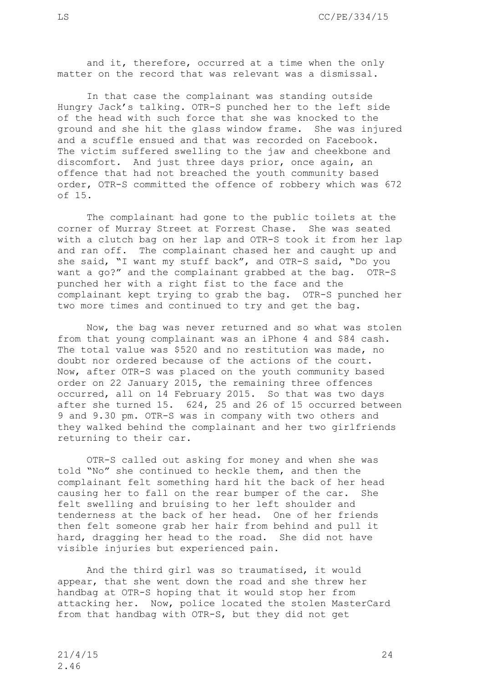and it, therefore, occurred at a time when the only matter on the record that was relevant was a dismissal.

In that case the complainant was standing outside Hungry Jack's talking. OTR-S punched her to the left side of the head with such force that she was knocked to the ground and she hit the glass window frame. She was injured and a scuffle ensued and that was recorded on Facebook. The victim suffered swelling to the jaw and cheekbone and discomfort. And just three days prior, once again, an offence that had not breached the youth community based order, OTR-S committed the offence of robbery which was 672 of 15.

The complainant had gone to the public toilets at the corner of Murray Street at Forrest Chase. She was seated with a clutch bag on her lap and OTR-S took it from her lap and ran off. The complainant chased her and caught up and she said, "I want my stuff back", and OTR-S said, "Do you want a go?" and the complainant grabbed at the bag. OTR-S punched her with a right fist to the face and the complainant kept trying to grab the bag. OTR-S punched her two more times and continued to try and get the bag.

Now, the bag was never returned and so what was stolen from that young complainant was an iPhone 4 and \$84 cash. The total value was \$520 and no restitution was made, no doubt nor ordered because of the actions of the court. Now, after OTR-S was placed on the youth community based order on 22 January 2015, the remaining three offences occurred, all on 14 February 2015. So that was two days after she turned 15. 624, 25 and 26 of 15 occurred between 9 and 9.30 pm. OTR-S was in company with two others and they walked behind the complainant and her two girlfriends returning to their car.

OTR-S called out asking for money and when she was told "No" she continued to heckle them, and then the complainant felt something hard hit the back of her head causing her to fall on the rear bumper of the car. She felt swelling and bruising to her left shoulder and tenderness at the back of her head. One of her friends then felt someone grab her hair from behind and pull it hard, dragging her head to the road. She did not have visible injuries but experienced pain.

And the third girl was so traumatised, it would appear, that she went down the road and she threw her handbag at OTR-S hoping that it would stop her from attacking her. Now, police located the stolen MasterCard from that handbag with OTR-S, but they did not get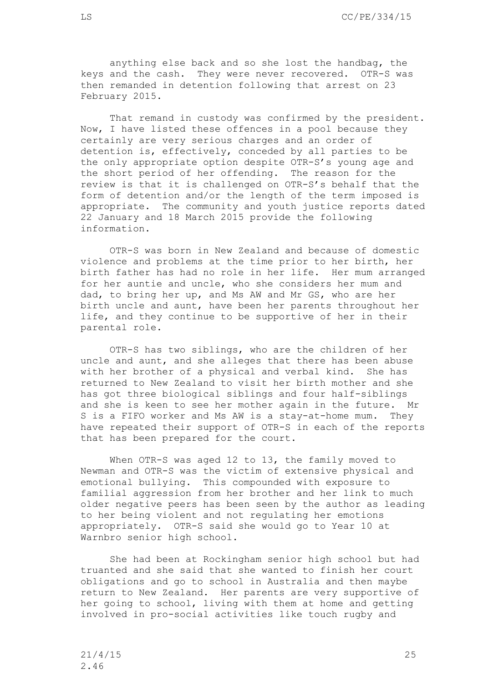anything else back and so she lost the handbag, the keys and the cash. They were never recovered. OTR-S was then remanded in detention following that arrest on 23 February 2015.

That remand in custody was confirmed by the president. Now, I have listed these offences in a pool because they certainly are very serious charges and an order of detention is, effectively, conceded by all parties to be the only appropriate option despite OTR-S's young age and the short period of her offending. The reason for the review is that it is challenged on OTR-S's behalf that the form of detention and/or the length of the term imposed is appropriate. The community and youth justice reports dated 22 January and 18 March 2015 provide the following information.

OTR-S was born in New Zealand and because of domestic violence and problems at the time prior to her birth, her birth father has had no role in her life. Her mum arranged for her auntie and uncle, who she considers her mum and dad, to bring her up, and Ms AW and Mr GS, who are her birth uncle and aunt, have been her parents throughout her life, and they continue to be supportive of her in their parental role.

OTR-S has two siblings, who are the children of her uncle and aunt, and she alleges that there has been abuse with her brother of a physical and verbal kind. She has returned to New Zealand to visit her birth mother and she has got three biological siblings and four half-siblings and she is keen to see her mother again in the future. Mr S is a FIFO worker and Ms AW is a stay-at-home mum. They have repeated their support of OTR-S in each of the reports that has been prepared for the court.

When OTR-S was aged 12 to 13, the family moved to Newman and OTR-S was the victim of extensive physical and emotional bullying. This compounded with exposure to familial aggression from her brother and her link to much older negative peers has been seen by the author as leading to her being violent and not regulating her emotions appropriately. OTR-S said she would go to Year 10 at Warnbro senior high school.

She had been at Rockingham senior high school but had truanted and she said that she wanted to finish her court obligations and go to school in Australia and then maybe return to New Zealand. Her parents are very supportive of her going to school, living with them at home and getting involved in pro-social activities like touch rugby and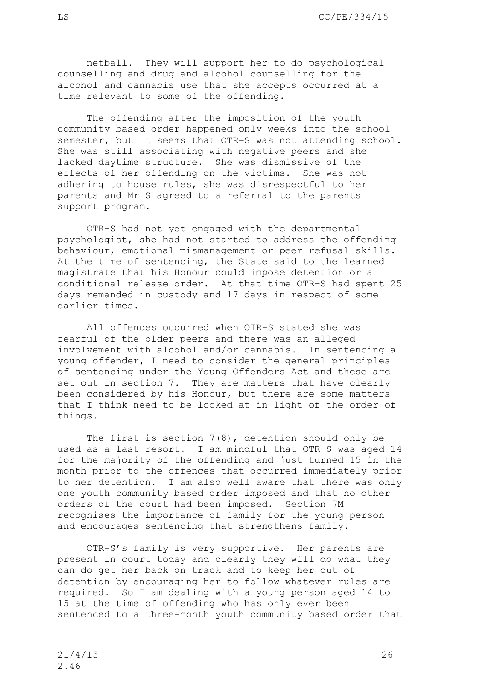netball. They will support her to do psychological counselling and drug and alcohol counselling for the alcohol and cannabis use that she accepts occurred at a time relevant to some of the offending.

The offending after the imposition of the youth community based order happened only weeks into the school semester, but it seems that OTR-S was not attending school. She was still associating with negative peers and she lacked daytime structure. She was dismissive of the effects of her offending on the victims. She was not adhering to house rules, she was disrespectful to her parents and Mr S agreed to a referral to the parents support program.

OTR-S had not yet engaged with the departmental psychologist, she had not started to address the offending behaviour, emotional mismanagement or peer refusal skills. At the time of sentencing, the State said to the learned magistrate that his Honour could impose detention or a conditional release order. At that time OTR-S had spent 25 days remanded in custody and 17 days in respect of some earlier times.

All offences occurred when OTR-S stated she was fearful of the older peers and there was an alleged involvement with alcohol and/or cannabis. In sentencing a young offender, I need to consider the general principles of sentencing under the Young Offenders Act and these are set out in section 7. They are matters that have clearly been considered by his Honour, but there are some matters that I think need to be looked at in light of the order of things.

The first is section 7(8), detention should only be used as a last resort. I am mindful that OTR-S was aged 14 for the majority of the offending and just turned 15 in the month prior to the offences that occurred immediately prior to her detention. I am also well aware that there was only one youth community based order imposed and that no other orders of the court had been imposed. Section 7M recognises the importance of family for the young person and encourages sentencing that strengthens family.

OTR-S's family is very supportive. Her parents are present in court today and clearly they will do what they can do get her back on track and to keep her out of detention by encouraging her to follow whatever rules are required. So I am dealing with a young person aged 14 to 15 at the time of offending who has only ever been sentenced to a three-month youth community based order that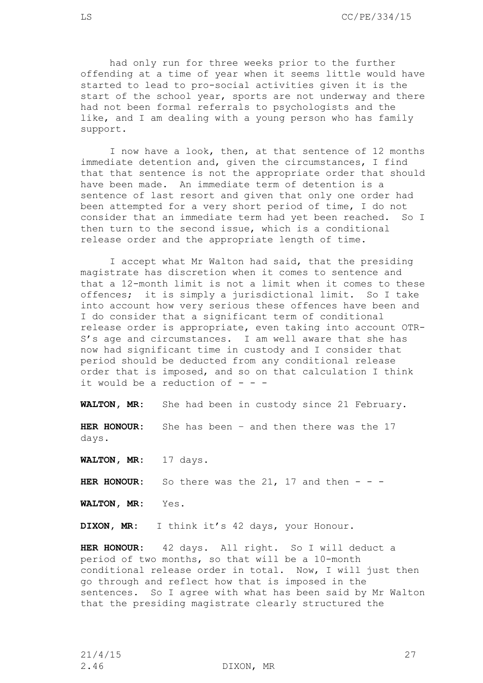had only run for three weeks prior to the further offending at a time of year when it seems little would have started to lead to pro-social activities given it is the start of the school year, sports are not underway and there had not been formal referrals to psychologists and the like, and I am dealing with a young person who has family support.

I now have a look, then, at that sentence of 12 months immediate detention and, given the circumstances, I find that that sentence is not the appropriate order that should have been made. An immediate term of detention is a sentence of last resort and given that only one order had been attempted for a very short period of time, I do not consider that an immediate term had yet been reached. So I then turn to the second issue, which is a conditional release order and the appropriate length of time.

I accept what Mr Walton had said, that the presiding magistrate has discretion when it comes to sentence and that a 12-month limit is not a limit when it comes to these offences; it is simply a jurisdictional limit. So I take into account how very serious these offences have been and I do consider that a significant term of conditional release order is appropriate, even taking into account OTR-S's age and circumstances. I am well aware that she has now had significant time in custody and I consider that period should be deducted from any conditional release order that is imposed, and so on that calculation I think it would be a reduction of  $-$  -

**WALTON, MR:** She had been in custody since 21 February.

**HER HONOUR:** She has been – and then there was the 17 days.

**WALTON, MR:** 17 days.

**HER HONOUR:** So there was the 21, 17 and then  $-$ 

**WALTON, MR:** Yes.

**DIXON, MR:** I think it's 42 days, your Honour.

**HER HONOUR:** 42 days. All right. So I will deduct a period of two months, so that will be a 10-month conditional release order in total. Now, I will just then go through and reflect how that is imposed in the sentences. So I agree with what has been said by Mr Walton that the presiding magistrate clearly structured the

2.46 DIXON, MR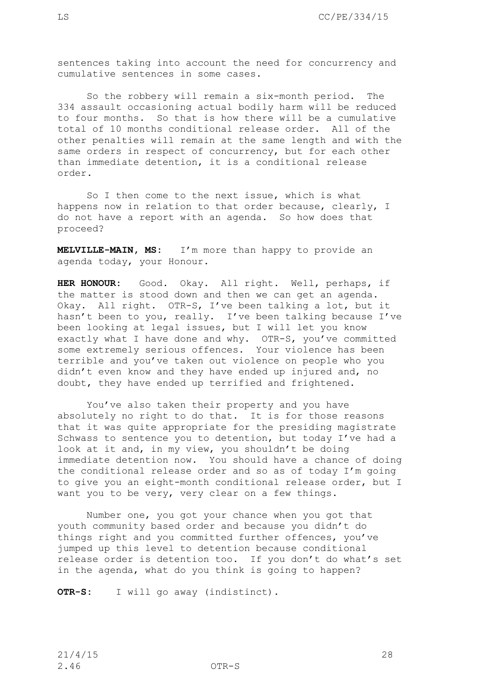sentences taking into account the need for concurrency and cumulative sentences in some cases.

So the robbery will remain a six-month period. The 334 assault occasioning actual bodily harm will be reduced to four months. So that is how there will be a cumulative total of 10 months conditional release order. All of the other penalties will remain at the same length and with the same orders in respect of concurrency, but for each other than immediate detention, it is a conditional release order.

So I then come to the next issue, which is what happens now in relation to that order because, clearly, I do not have a report with an agenda. So how does that proceed?

**MELVILLE-MAIN, MS:** I'm more than happy to provide an agenda today, your Honour.

**HER HONOUR:** Good. Okay. All right. Well, perhaps, if the matter is stood down and then we can get an agenda. Okay. All right. OTR-S, I've been talking a lot, but it hasn't been to you, really. I've been talking because I've been looking at legal issues, but I will let you know exactly what I have done and why. OTR-S, you've committed some extremely serious offences. Your violence has been terrible and you've taken out violence on people who you didn't even know and they have ended up injured and, no doubt, they have ended up terrified and frightened.

You've also taken their property and you have absolutely no right to do that. It is for those reasons that it was quite appropriate for the presiding magistrate Schwass to sentence you to detention, but today I've had a look at it and, in my view, you shouldn't be doing immediate detention now. You should have a chance of doing the conditional release order and so as of today I'm going to give you an eight-month conditional release order, but I want you to be very, very clear on a few things.

Number one, you got your chance when you got that youth community based order and because you didn't do things right and you committed further offences, you've jumped up this level to detention because conditional release order is detention too. If you don't do what's set in the agenda, what do you think is going to happen?

**OTR-S:** I will go away (indistinct).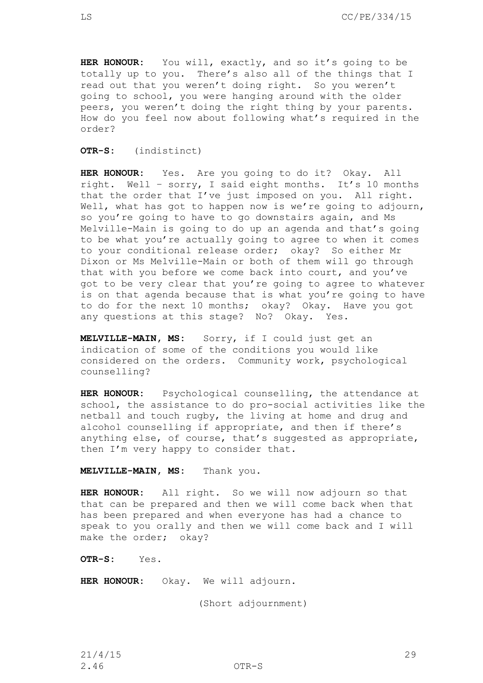**HER HONOUR:** You will, exactly, and so it's going to be totally up to you. There's also all of the things that I read out that you weren't doing right. So you weren't going to school, you were hanging around with the older peers, you weren't doing the right thing by your parents. How do you feel now about following what's required in the order?

**OTR-S:** (indistinct)

**HER HONOUR:** Yes. Are you going to do it? Okay. All right. Well – sorry, I said eight months. It's 10 months that the order that I've just imposed on you. All right. Well, what has got to happen now is we're going to adjourn, so you're going to have to go downstairs again, and Ms Melville-Main is going to do up an agenda and that's going to be what you're actually going to agree to when it comes to your conditional release order; okay? So either Mr Dixon or Ms Melville-Main or both of them will go through that with you before we come back into court, and you've got to be very clear that you're going to agree to whatever is on that agenda because that is what you're going to have to do for the next 10 months; okay? Okay. Have you got any questions at this stage? No? Okay. Yes.

**MELVILLE-MAIN, MS:** Sorry, if I could just get an indication of some of the conditions you would like considered on the orders. Community work, psychological counselling?

**HER HONOUR:** Psychological counselling, the attendance at school, the assistance to do pro-social activities like the netball and touch rugby, the living at home and drug and alcohol counselling if appropriate, and then if there's anything else, of course, that's suggested as appropriate, then I'm very happy to consider that.

**MELVILLE-MAIN, MS:** Thank you.

**HER HONOUR:** All right. So we will now adjourn so that that can be prepared and then we will come back when that has been prepared and when everyone has had a chance to speak to you orally and then we will come back and I will make the order; okay?

**OTR-S:** Yes.

**HER HONOUR:** Okay. We will adjourn.

(Short adjournment)

21/4/15 29 2.46 OTR-S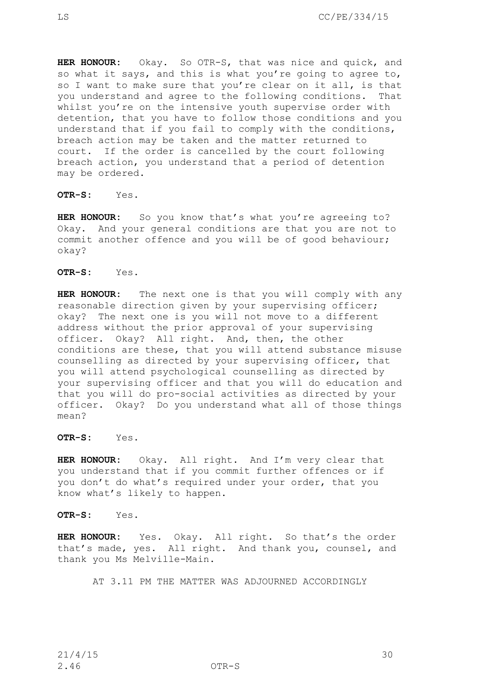**HER HONOUR:** Okay. So OTR-S, that was nice and quick, and so what it says, and this is what you're going to agree to, so I want to make sure that you're clear on it all, is that you understand and agree to the following conditions. That whilst you're on the intensive youth supervise order with detention, that you have to follow those conditions and you understand that if you fail to comply with the conditions, breach action may be taken and the matter returned to court. If the order is cancelled by the court following breach action, you understand that a period of detention may be ordered.

## **OTR-S:** Yes.

HER HONOUR: So you know that's what you're agreeing to? Okay. And your general conditions are that you are not to commit another offence and you will be of good behaviour; okay?

**OTR-S:** Yes.

**HER HONOUR:** The next one is that you will comply with any reasonable direction given by your supervising officer; okay? The next one is you will not move to a different address without the prior approval of your supervising officer. Okay? All right. And, then, the other conditions are these, that you will attend substance misuse counselling as directed by your supervising officer, that you will attend psychological counselling as directed by your supervising officer and that you will do education and that you will do pro-social activities as directed by your officer. Okay? Do you understand what all of those things mean?

**OTR-S:** Yes.

**HER HONOUR:** Okay. All right. And I'm very clear that you understand that if you commit further offences or if you don't do what's required under your order, that you know what's likely to happen.

**OTR-S:** Yes.

**HER HONOUR:** Yes. Okay. All right. So that's the order that's made, yes. All right. And thank you, counsel, and thank you Ms Melville-Main.

AT 3.11 PM THE MATTER WAS ADJOURNED ACCORDINGLY